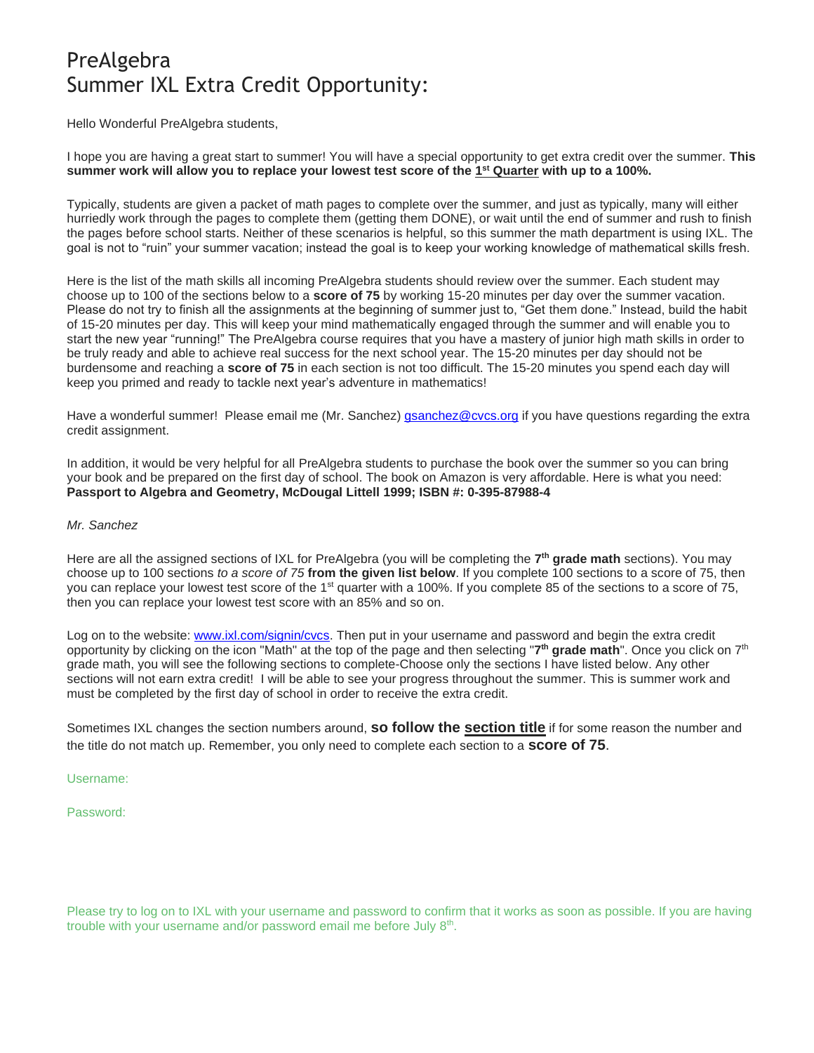# PreAlgebra Summer IXL Extra Credit Opportunity:

Hello Wonderful PreAlgebra students,

I hope you are having a great start to summer! You will have a special opportunity to get extra credit over the summer. **This summer work will allow you to replace your lowest test score of the 1 st Quarter with up to a 100%.**

Typically, students are given a packet of math pages to complete over the summer, and just as typically, many will either hurriedly work through the pages to complete them (getting them DONE), or wait until the end of summer and rush to finish the pages before school starts. Neither of these scenarios is helpful, so this summer the math department is using IXL. The goal is not to "ruin" your summer vacation; instead the goal is to keep your working knowledge of mathematical skills fresh.

Here is the list of the math skills all incoming PreAlgebra students should review over the summer. Each student may choose up to 100 of the sections below to a **score of 75** by working 15-20 minutes per day over the summer vacation. Please do not try to finish all the assignments at the beginning of summer just to, "Get them done." Instead, build the habit of 15-20 minutes per day. This will keep your mind mathematically engaged through the summer and will enable you to start the new year "running!" The PreAlgebra course requires that you have a mastery of junior high math skills in order to be truly ready and able to achieve real success for the next school year. The 15-20 minutes per day should not be burdensome and reaching a **score of 75** in each section is not too difficult. The 15-20 minutes you spend each day will keep you primed and ready to tackle next year's adventure in mathematics!

Have a wonderful summer! Please email me (Mr. Sanchez) *gsanchez@cvcs.org* if you have questions regarding the extra credit assignment.

In addition, it would be very helpful for all PreAlgebra students to purchase the book over the summer so you can bring your book and be prepared on the first day of school. The book on Amazon is very affordable. Here is what you need: **Passport to Algebra and Geometry, McDougal Littell 1999; ISBN #: 0-395-87988-4**

#### *Mr. Sanchez*

Here are all the assigned sections of IXL for PreAlgebra (you will be completing the **7 th grade math** sections). You may choose up to 100 sections *to a score of 75* **from the given list below**. If you complete 100 sections to a score of 75, then you can replace your lowest test score of the 1<sup>st</sup> quarter with a 100%. If you complete 85 of the sections to a score of 75, then you can replace your lowest test score with an 85% and so on.

Log on to the website: [www.ixl.com/signin/cvcs.](http://www.ixl.com/signin/cvcs) Then put in your username and password and begin the extra credit opportunity by clicking on the icon "Math" at the top of the page and then selecting "**7 th grade math**". Once you click on 7 th grade math, you will see the following sections to complete-Choose only the sections I have listed below. Any other sections will not earn extra credit! I will be able to see your progress throughout the summer. This is summer work and must be completed by the first day of school in order to receive the extra credit.

Sometimes IXL changes the section numbers around, **so follow the section title** if for some reason the number and the title do not match up. Remember, you only need to complete each section to a **score of 75**.

Username:

Password:

Please try to log on to IXL with your username and password to confirm that it works as soon as possible. If you are having trouble with your username and/or password email me before July 8<sup>th</sup>.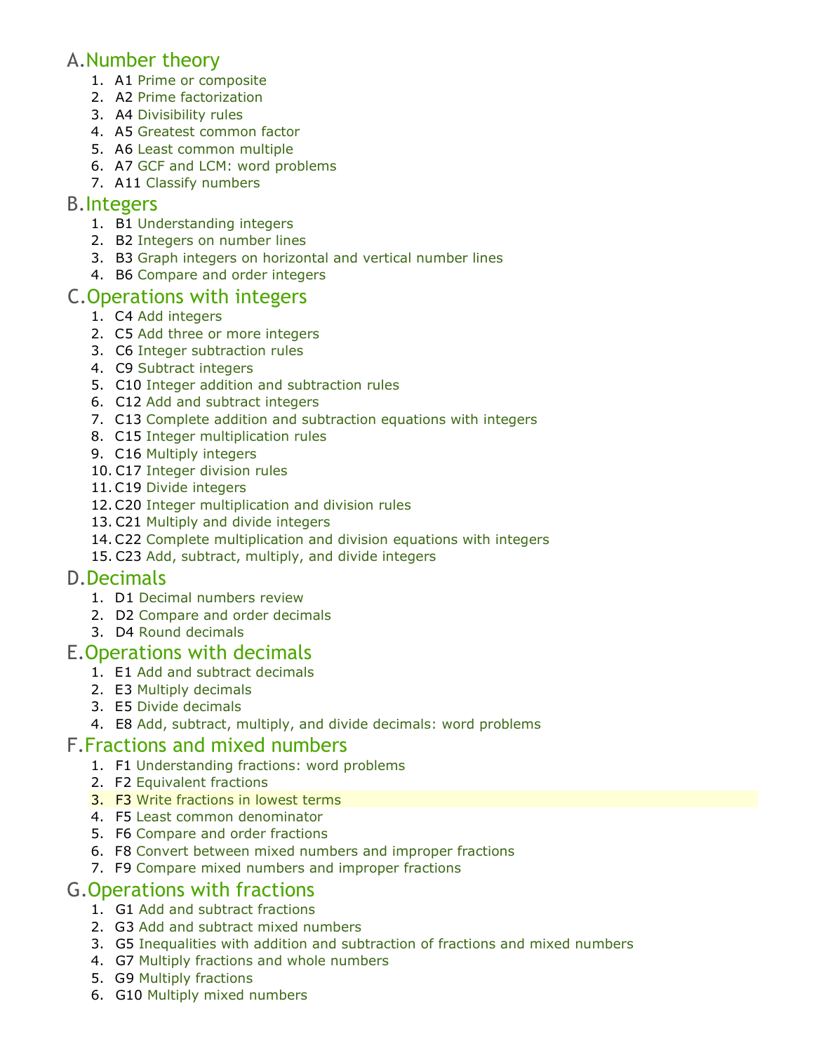### A.Number theory

- 1. A1 [Prime or composite](https://www.ixl.com/math/grade-7/prime-or-composite)
- 2. A2 [Prime factorization](https://www.ixl.com/math/grade-7/prime-factorization)
- 3. A4 [Divisibility rules](https://www.ixl.com/math/grade-7/divisibility-rules)
- 4. A5 [Greatest common factor](https://www.ixl.com/math/grade-7/greatest-common-factor)
- 5. A6 [Least common multiple](https://www.ixl.com/math/grade-7/least-common-multiple)
- 6. A7 [GCF and LCM: word problems](https://www.ixl.com/math/grade-7/gcf-and-lcm-word-problems)
- 7. A11 [Classify numbers](https://www.ixl.com/math/grade-7/classify-numbers)

#### B.Integers

- 1. B1 [Understanding integers](https://www.ixl.com/math/grade-7/understanding-integers)
- 2. B2 [Integers on number lines](https://www.ixl.com/math/grade-7/integers-on-number-lines)
- 3. B3 [Graph integers on horizontal and vertical number lines](https://www.ixl.com/math/grade-7/graph-integers-on-horizontal-and-vertical-number-lines)
- 4. B6 [Compare and order integers](https://www.ixl.com/math/grade-7/compare-and-order-integers)

### C.Operations with integers

- 1. C4 [Add integers](https://www.ixl.com/math/grade-7/add-integers)
- 2. C5 [Add three or more integers](https://www.ixl.com/math/grade-7/add-three-or-more-integers)
- 3. C6 [Integer subtraction rules](https://www.ixl.com/math/grade-7/integer-subtraction-rules)
- 4. C9 [Subtract integers](https://www.ixl.com/math/grade-7/subtract-integers)
- 5. C10 [Integer addition and subtraction rules](https://www.ixl.com/math/grade-7/integer-addition-and-subtraction-rules)
- 6. C12 [Add and subtract integers](https://www.ixl.com/math/grade-7/add-and-subtract-integers)
- 7. C13 [Complete addition and subtraction equations with integers](https://www.ixl.com/math/grade-7/complete-addition-and-subtraction-equations-with-integers)
- 8. C15 [Integer multiplication rules](https://www.ixl.com/math/grade-7/integer-multiplication-rules)
- 9. C16 [Multiply integers](https://www.ixl.com/math/grade-7/multiply-integers)
- 10. C17 [Integer division rules](https://www.ixl.com/math/grade-7/integer-division-rules)
- 11.C19 [Divide integers](https://www.ixl.com/math/grade-7/divide-integers)
- 12.C20 [Integer multiplication and division rules](https://www.ixl.com/math/grade-7/integer-multiplication-and-division-rules)
- 13. C21 [Multiply and divide integers](https://www.ixl.com/math/grade-7/multiply-and-divide-integers)
- 14.C22 [Complete multiplication and division](https://www.ixl.com/math/grade-7/complete-multiplication-and-division-equations-with-integers) equations with integers
- 15. C23 [Add, subtract, multiply, and divide integers](https://www.ixl.com/math/grade-7/add-subtract-multiply-and-divide-integers)

### D.Decimals

- 1. D1 [Decimal numbers review](https://www.ixl.com/math/grade-7/decimal-numbers-review)
- 2. D2 [Compare and order decimals](https://www.ixl.com/math/grade-7/compare-and-order-decimals)
- 3. D4 [Round decimals](https://www.ixl.com/math/grade-7/round-decimals)

#### E.Operations with decimals

- 1. E1 [Add and subtract decimals](https://www.ixl.com/math/grade-7/add-and-subtract-decimals)
- 2. E3 [Multiply decimals](https://www.ixl.com/math/grade-7/multiply-decimals)
- 3. E5 [Divide decimals](https://www.ixl.com/math/grade-7/divide-decimals)
- 4. E8 [Add, subtract, multiply, and divide decimals: word problems](https://www.ixl.com/math/grade-7/add-subtract-multiply-and-divide-decimals-word-problems)

#### F.Fractions and mixed numbers

- 1. F1 [Understanding fractions: word problems](https://www.ixl.com/math/grade-7/understanding-fractions-word-problems)
- 2. F2 [Equivalent fractions](https://www.ixl.com/math/grade-7/equivalent-fractions)
- 3. F3 [Write fractions in lowest terms](https://www.ixl.com/math/grade-7/write-fractions-in-lowest-terms)
- 4. F5 [Least common denominator](https://www.ixl.com/math/grade-7/least-common-denominator)
- 5. F6 [Compare and order fractions](https://www.ixl.com/math/grade-7/compare-and-order-fractions)
- 6. F8 [Convert between mixed numbers and improper fractions](https://www.ixl.com/math/grade-7/convert-between-mixed-numbers-and-improper-fractions)
- 7. F9 [Compare mixed numbers and improper fractions](https://www.ixl.com/math/grade-7/compare-mixed-numbers-and-improper-fractions)

## G.Operations with fractions

- 1. G1 [Add and subtract fractions](https://www.ixl.com/math/grade-7/add-and-subtract-fractions)
- 2. G3 [Add and subtract mixed numbers](https://www.ixl.com/math/grade-7/add-and-subtract-mixed-numbers)
- 3. G5 [Inequalities with addition and subtraction of fractions and mixed numbers](https://www.ixl.com/math/grade-7/inequalities-with-addition-and-subtraction-of-fractions-and-mixed-numbers)
- 4. G7 [Multiply fractions and whole numbers](https://www.ixl.com/math/grade-7/multiply-fractions-and-whole-numbers)
- 5. G9 [Multiply fractions](https://www.ixl.com/math/grade-7/multiply-fractions)
- 6. G10 [Multiply mixed numbers](https://www.ixl.com/math/grade-7/multiply-mixed-numbers)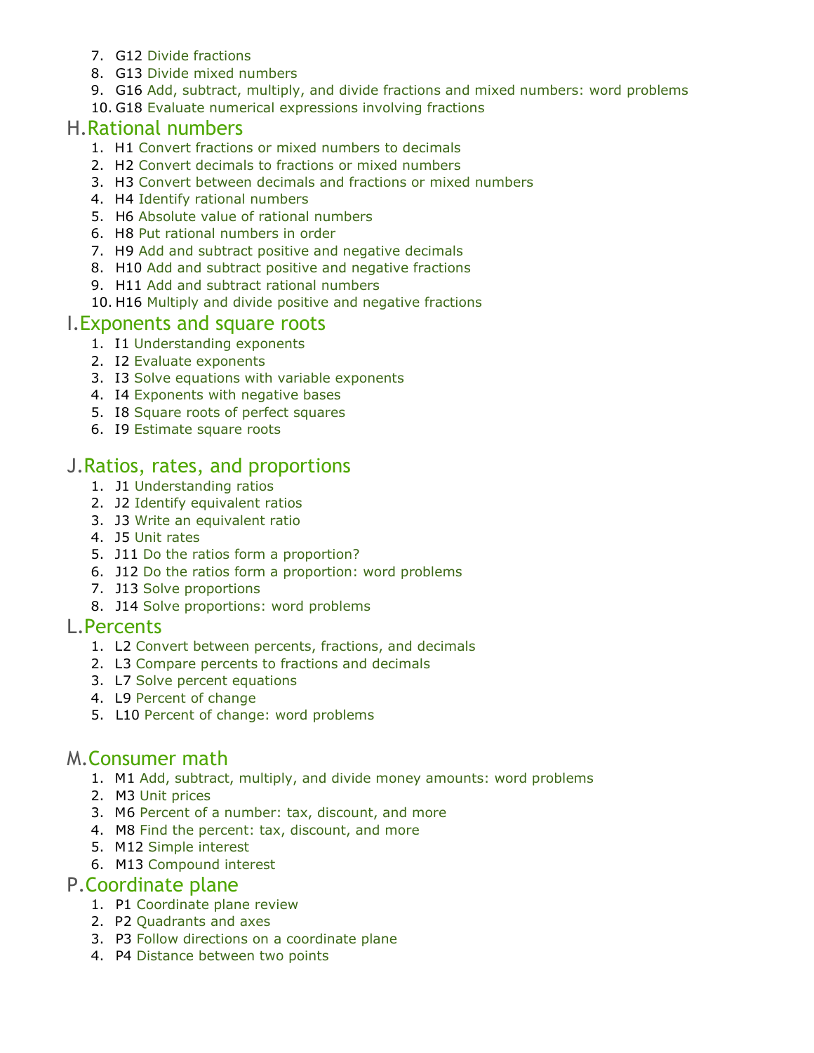- 7. G12 [Divide fractions](https://www.ixl.com/math/grade-7/divide-fractions)
- 8. G13 [Divide mixed numbers](https://www.ixl.com/math/grade-7/divide-mixed-numbers)
- 9. G16 [Add, subtract, multiply, and divide fractions and mixed numbers: word problems](https://www.ixl.com/math/grade-7/add-subtract-multiply-and-divide-fractions-and-mixed-numbers-word-problems)
- 10. G18 [Evaluate numerical expressions involving fractions](https://www.ixl.com/math/grade-7/evaluate-numerical-expressions-involving-fractions)

#### H.Rational numbers

- 1. H1 [Convert fractions or mixed numbers to decimals](https://www.ixl.com/math/grade-7/convert-fractions-or-mixed-numbers-to-decimals)
- 2. H2 [Convert decimals to fractions or mixed numbers](https://www.ixl.com/math/grade-7/convert-decimals-to-fractions-or-mixed-numbers)
- 3. H3 [Convert between decimals and fractions or mixed numbers](https://www.ixl.com/math/grade-7/convert-between-decimals-and-fractions-or-mixed-numbers)
- 4. H4 [Identify rational numbers](https://www.ixl.com/math/grade-7/identify-rational-numbers)
- 5. H6 [Absolute value of rational numbers](https://www.ixl.com/math/grade-7/absolute-value-of-rational-numbers)
- 6. H8 [Put rational numbers in order](https://www.ixl.com/math/grade-7/put-rational-numbers-in-order)
- 7. H9 [Add and subtract positive and negative decimals](https://www.ixl.com/math/grade-7/add-and-subtract-positive-and-negative-decimals)
- 8. H10 [Add and subtract positive and negative fractions](https://www.ixl.com/math/grade-7/add-and-subtract-positive-and-negative-fractions)
- 9. H11 [Add and subtract rational numbers](https://www.ixl.com/math/grade-7/add-and-subtract-rational-numbers)
- 10. H16 [Multiply and divide positive and negative fractions](https://www.ixl.com/math/grade-7/multiply-and-divide-positive-and-negative-fractions)

#### I.Exponents and square roots

- 1. I1 [Understanding exponents](https://www.ixl.com/math/grade-7/understanding-exponents)
- 2. I2 [Evaluate exponents](https://www.ixl.com/math/grade-7/evaluate-exponents)
- 3. I3 [Solve equations with variable exponents](https://www.ixl.com/math/grade-7/solve-equations-with-variable-exponents)
- 4. I4 [Exponents with negative bases](https://www.ixl.com/math/grade-7/exponents-with-negative-bases)
- 5. I8 [Square roots of perfect squares](https://www.ixl.com/math/grade-7/square-roots-of-perfect-squares)
- 6. I9 [Estimate square roots](https://www.ixl.com/math/grade-7/estimate-square-roots)

### J.Ratios, rates, and proportions

- 1. J1 [Understanding ratios](https://www.ixl.com/math/grade-7/understanding-ratios)
- 2. J2 [Identify equivalent ratios](https://www.ixl.com/math/grade-7/identify-equivalent-ratios)
- 3. J3 [Write an equivalent ratio](https://www.ixl.com/math/grade-7/write-an-equivalent-ratio)
- 4. J5 [Unit rates](https://www.ixl.com/math/grade-7/unit-rates)
- 5. J11 [Do the ratios form a proportion?](https://www.ixl.com/math/grade-7/do-the-ratios-form-a-proportion)
- 6. J12 [Do the ratios form a proportion: word problems](https://www.ixl.com/math/grade-7/do-the-ratios-form-a-proportion-word-problems)
- 7. J13 [Solve proportions](https://www.ixl.com/math/grade-7/solve-proportions)
- 8. J14 [Solve proportions: word problems](https://www.ixl.com/math/grade-7/solve-proportions-word-problems)

#### L.Percents

- 1. L2 [Convert between percents, fractions, and decimals](https://www.ixl.com/math/grade-7/convert-between-percents-fractions-and-decimals)
- 2. L3 [Compare percents to fractions and decimals](https://www.ixl.com/math/grade-7/compare-percents-to-fractions-and-decimals)
- 3. L7 [Solve percent equations](https://www.ixl.com/math/grade-7/solve-percent-equations)
- 4. L9 [Percent of change](https://www.ixl.com/math/grade-7/percent-of-change)
- 5. L10 [Percent of change: word problems](https://www.ixl.com/math/grade-7/percent-of-change-word-problems)

### M.Consumer math

- 1. M1 [Add, subtract, multiply, and divide money amounts: word problems](https://www.ixl.com/math/grade-7/add-subtract-multiply-and-divide-money-amounts-word-problems)
- 2. M3 [Unit prices](https://www.ixl.com/math/grade-7/unit-prices)
- 3. M6 [Percent of a number: tax, discount, and more](https://www.ixl.com/math/grade-7/percent-of-a-number-tax-discount-and-more)
- 4. M8 [Find the percent: tax, discount, and more](https://www.ixl.com/math/grade-7/find-the-percent-tax-discount-and-more)
- 5. M12 [Simple interest](https://www.ixl.com/math/grade-7/simple-interest)
- 6. M13 [Compound interest](https://www.ixl.com/math/grade-7/compound-interest)

### P.Coordinate plane

- 1. P1 [Coordinate plane review](https://www.ixl.com/math/grade-7/coordinate-plane-review)
- 2. P2 [Quadrants and axes](https://www.ixl.com/math/grade-7/quadrants-and-axes)
- 3. P3 [Follow directions on a coordinate plane](https://www.ixl.com/math/grade-7/follow-directions-on-a-coordinate-plane)
- 4. P4 [Distance between two points](https://www.ixl.com/math/grade-7/distance-between-two-points)